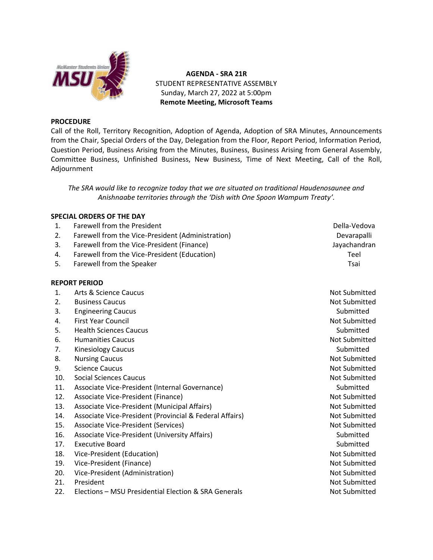

**AGENDA - SRA 21R** STUDENT REPRESENTATIVE ASSEMBLY Sunday, March 27, 2022 at 5:00pm **Remote Meeting, Microsoft Teams**

## **PROCEDURE**

Call of the Roll, Territory Recognition, Adoption of Agenda, Adoption of SRA Minutes, Announcements from the Chair, Special Orders of the Day, Delegation from the Floor, Report Period, Information Period, Question Period, Business Arising from the Minutes, Business, Business Arising from General Assembly, Committee Business, Unfinished Business, New Business, Time of Next Meeting, Call of the Roll, Adjournment

*The SRA would like to recognize today that we are situated on traditional Haudenosaunee and Anishnaabe territories through the 'Dish with One Spoon Wampum Treaty'.*

## **SPECIAL ORDERS OF THE DAY**

| 1.  | Farewell from the President                             | Della-Vedova         |
|-----|---------------------------------------------------------|----------------------|
| 2.  | Farewell from the Vice-President (Administration)       | Devarapalli          |
| 3.  | Farewell from the Vice-President (Finance)              | Jayachandran         |
| 4.  | Farewell from the Vice-President (Education)            | Teel                 |
| 5.  | Farewell from the Speaker                               | Tsai                 |
|     | <b>REPORT PERIOD</b>                                    |                      |
| 1.  | Arts & Science Caucus                                   | Not Submitted        |
| 2.  | <b>Business Caucus</b>                                  | Not Submitted        |
| 3.  | <b>Engineering Caucus</b>                               | Submitted            |
| 4.  | <b>First Year Council</b>                               | <b>Not Submitted</b> |
| 5.  | <b>Health Sciences Caucus</b>                           | Submitted            |
| 6.  | <b>Humanities Caucus</b>                                | Not Submitted        |
| 7.  | <b>Kinesiology Caucus</b>                               | Submitted            |
| 8.  | <b>Nursing Caucus</b>                                   | Not Submitted        |
| 9.  | <b>Science Caucus</b>                                   | Not Submitted        |
| 10. | <b>Social Sciences Caucus</b>                           | <b>Not Submitted</b> |
| 11. | Associate Vice-President (Internal Governance)          | Submitted            |
| 12. | Associate Vice-President (Finance)                      | Not Submitted        |
| 13. | Associate Vice-President (Municipal Affairs)            | <b>Not Submitted</b> |
| 14. | Associate Vice-President (Provincial & Federal Affairs) | Not Submitted        |
| 15. | Associate Vice-President (Services)                     | Not Submitted        |
| 16. | Associate Vice-President (University Affairs)           | Submitted            |
| 17. | <b>Executive Board</b>                                  | Submitted            |
| 18. | Vice-President (Education)                              | <b>Not Submitted</b> |
| 19. | Vice-President (Finance)                                | Not Submitted        |
| 20. | Vice-President (Administration)                         | Not Submitted        |
| 21. | President                                               | Not Submitted        |

- 
- 22. Elections MSU Presidential Election & SRA Generals Not Submitted Not Submitted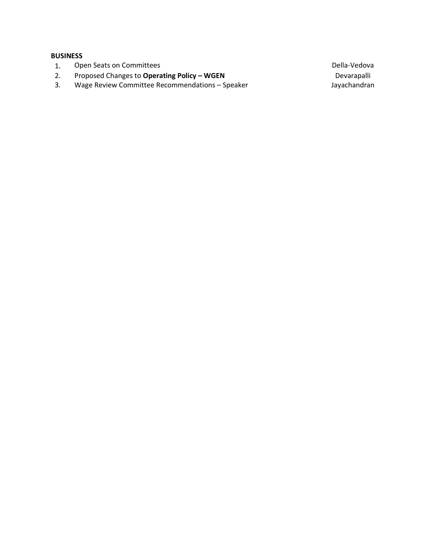## **BUSINESS**

- 1. Open Seats on Committees and Seats of Committees and Seats of Committees and Seats of Committees and Seats of Della-Vedova
- 2. Proposed Changes to **Operating Policy – WGEN** Devarapalli
- 3. Wage Review Committee Recommendations Speaker June 1986 and Mayachandran